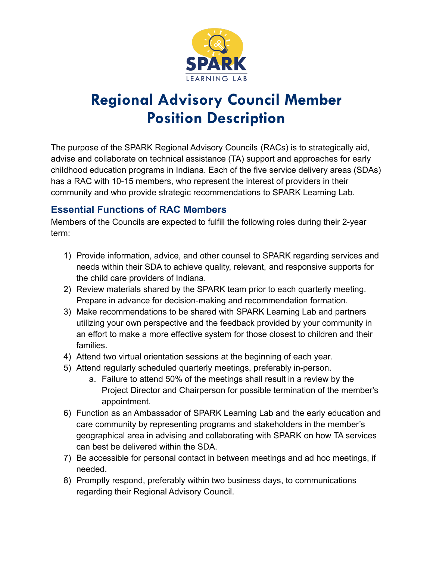

# **Regional Advisory Council Member Position Description**

The purpose of the SPARK Regional Advisory Councils (RACs) is to strategically aid, advise and collaborate on technical assistance (TA) support and approaches for early childhood education programs in Indiana. Each of the five service delivery areas (SDAs) has a RAC with 10-15 members, who represent the interest of providers in their community and who provide strategic recommendations to SPARK Learning Lab.

## **Essential Functions of RAC Members**

Members of the Councils are expected to fulfill the following roles during their 2-year term:

- 1) Provide information, advice, and other counsel to SPARK regarding services and needs within their SDA to achieve quality, relevant, and responsive supports for the child care providers of Indiana.
- 2) Review materials shared by the SPARK team prior to each quarterly meeting. Prepare in advance for decision-making and recommendation formation.
- 3) Make recommendations to be shared with SPARK Learning Lab and partners utilizing your own perspective and the feedback provided by your community in an effort to make a more effective system for those closest to children and their families.
- 4) Attend two virtual orientation sessions at the beginning of each year.
- 5) Attend regularly scheduled quarterly meetings, preferably in-person.
	- a. Failure to attend 50% of the meetings shall result in a review by the Project Director and Chairperson for possible termination of the member's appointment.
- 6) Function as an Ambassador of SPARK Learning Lab and the early education and care community by representing programs and stakeholders in the member's geographical area in advising and collaborating with SPARK on how TA services can best be delivered within the SDA.
- 7) Be accessible for personal contact in between meetings and ad hoc meetings, if needed.
- 8) Promptly respond, preferably within two business days, to communications regarding their Regional Advisory Council.